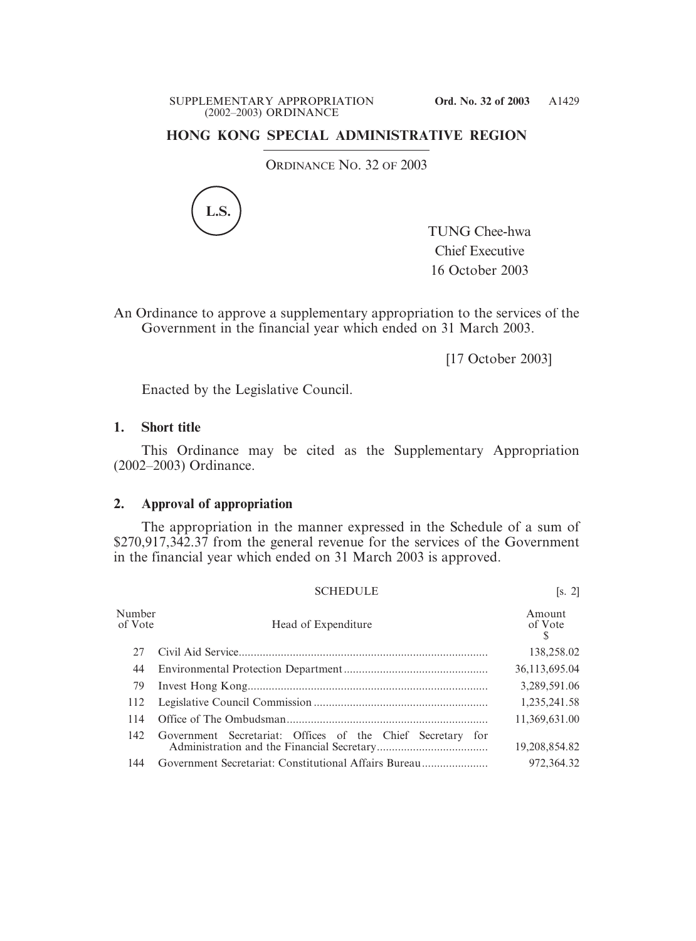## **HONG KONG SPECIAL ADMINISTRATIVE REGION**

ORDINANCE NO. 32 OF 2003



TUNG Chee-hwa Chief Executive 16 October 2003

An Ordinance to approve a supplementary appropriation to the services of the Government in the financial year which ended on 31 March 2003.

[17 October 2003]

Enacted by the Legislative Council.

## **1. Short title**

This Ordinance may be cited as the Supplementary Appropriation (2002–2003) Ordinance.

## **2. Approval of appropriation**

The appropriation in the manner expressed in the Schedule of a sum of \$270,917,342.37 from the general revenue for the services of the Government in the financial year which ended on 31 March 2003 is approved.

|                   | <b>SCHEDULE</b>                                            | [s, 2]            |
|-------------------|------------------------------------------------------------|-------------------|
| Number<br>of Vote | Head of Expenditure                                        | Amount<br>of Vote |
| 27                |                                                            | 138,258.02        |
| 44                |                                                            | 36,113,695.04     |
| 79                |                                                            | 3,289,591.06      |
| 112               |                                                            | 1,235,241.58      |
| 114               |                                                            | 11,369,631.00     |
| 142               | Government Secretariat: Offices of the Chief Secretary for | 19,208,854.82     |
| 144               | Government Secretariat: Constitutional Affairs Bureau      | 972,364.32        |